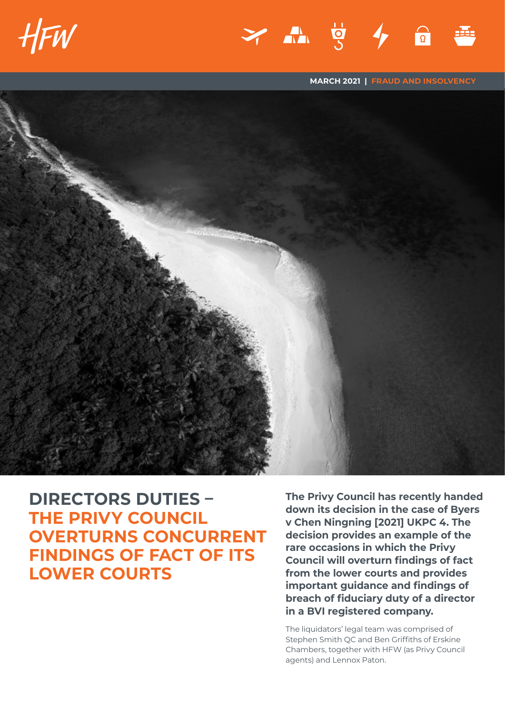

**MARCH 2021 | FRAUD AND INSOLVENCY**



**DIRECTORS DUTIES – THE PRIVY COUNCIL OVERTURNS CONCURRENT FINDINGS OF FACT OF ITS LOWER COURTS**

**The Privy Council has recently handed down its decision in the case of Byers v Chen Ningning [2021] UKPC 4. The decision provides an example of the rare occasions in which the Privy Council will overturn findings of fact from the lower courts and provides important guidance and findings of breach of fiduciary duty of a director in a BVI registered company.** 

The liquidators' legal team was comprised of Stephen Smith QC and Ben Griffiths of Erskine Chambers, together with HFW (as Privy Council agents) and Lennox Paton.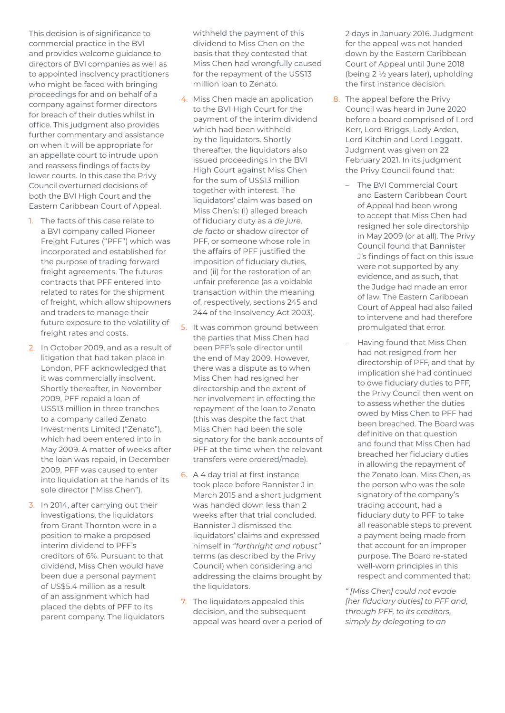This decision is of significance to commercial practice in the BVI and provides welcome guidance to directors of BVI companies as well as to appointed insolvency practitioners who might be faced with bringing proceedings for and on behalf of a company against former directors for breach of their duties whilst in office. This judgment also provides further commentary and assistance on when it will be appropriate for an appellate court to intrude upon and reassess findings of facts by lower courts. In this case the Privy Council overturned decisions of both the BVI High Court and the Eastern Caribbean Court of Appeal.

- 1. The facts of this case relate to a BVI company called Pioneer Freight Futures ("PFF") which was incorporated and established for the purpose of trading forward freight agreements. The futures contracts that PFF entered into related to rates for the shipment of freight, which allow shipowners and traders to manage their future exposure to the volatility of freight rates and costs.
- 2. In October 2009, and as a result of litigation that had taken place in London, PFF acknowledged that it was commercially insolvent. Shortly thereafter, in November 2009, PFF repaid a loan of US\$13 million in three tranches to a company called Zenato Investments Limited ("Zenato"), which had been entered into in May 2009. A matter of weeks after the loan was repaid, in December 2009, PFF was caused to enter into liquidation at the hands of its sole director ("Miss Chen").
- 3. In 2014, after carrying out their investigations, the liquidators from Grant Thornton were in a position to make a proposed interim dividend to PFF's creditors of 6%. Pursuant to that dividend, Miss Chen would have been due a personal payment of US\$5.4 million as a result of an assignment which had placed the debts of PFF to its parent company. The liquidators

withheld the payment of this dividend to Miss Chen on the basis that they contested that Miss Chen had wrongfully caused for the repayment of the US\$13 million loan to Zenato.

- 4. Miss Chen made an application to the BVI High Court for the payment of the interim dividend which had been withheld by the liquidators. Shortly thereafter, the liquidators also issued proceedings in the BVI High Court against Miss Chen for the sum of US\$13 million together with interest. The liquidators' claim was based on Miss Chen's: (i) alleged breach of fiduciary duty as a *de jure, de facto* or shadow director of PFF, or someone whose role in the affairs of PFF justified the imposition of fiduciary duties, and (ii) for the restoration of an unfair preference (as a voidable transaction within the meaning of, respectively, sections 245 and 244 of the Insolvency Act 2003).
- 5. It was common ground between the parties that Miss Chen had been PFF's sole director until the end of May 2009. However, there was a dispute as to when Miss Chen had resigned her directorship and the extent of her involvement in effecting the repayment of the loan to Zenato (this was despite the fact that Miss Chen had been the sole signatory for the bank accounts of PFF at the time when the relevant transfers were ordered/made).
- 6. A 4 day trial at first instance took place before Bannister J in March 2015 and a short judgment was handed down less than 2 weeks after that trial concluded. Bannister J dismissed the liquidators' claims and expressed himself in *"forthright and robust"* terms (as described by the Privy Council) when considering and addressing the claims brought by the liquidators.
- 7. The liquidators appealed this decision, and the subsequent appeal was heard over a period of

2 days in January 2016. Judgment for the appeal was not handed down by the Eastern Caribbean Court of Appeal until June 2018 (being 2 ½ years later), upholding the first instance decision.

- 8. The appeal before the Privy Council was heard in June 2020 before a board comprised of Lord Kerr, Lord Briggs, Lady Arden, Lord Kitchin and Lord Leggatt. Judgment was given on 22 February 2021. In its judgment the Privy Council found that:
	- The BVI Commercial Court and Eastern Caribbean Court of Appeal had been wrong to accept that Miss Chen had resigned her sole directorship in May 2009 (or at all). The Privy Council found that Bannister J's findings of fact on this issue were not supported by any evidence, and as such, that the Judge had made an error of law. The Eastern Caribbean Court of Appeal had also failed to intervene and had therefore promulgated that error.
	- Having found that Miss Chen had not resigned from her directorship of PFF, and that by implication she had continued to owe fiduciary duties to PFF, the Privy Council then went on to assess whether the duties owed by Miss Chen to PFF had been breached. The Board was definitive on that question and found that Miss Chen had breached her fiduciary duties in allowing the repayment of the Zenato loan. Miss Chen, as the person who was the sole signatory of the company's trading account, had a fiduciary duty to PFF to take all reasonable steps to prevent a payment being made from that account for an improper purpose. The Board re-stated well-worn principles in this respect and commented that:

*" [Miss Chen] could not evade [her fiduciary duties] to PFF and, through PFF, to its creditors, simply by delegating to an*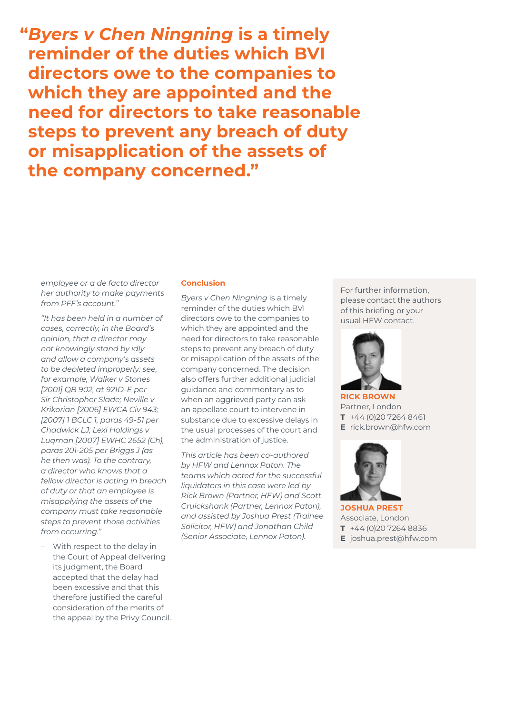**"***Byers v Chen Ningning* **is a timely reminder of the duties which BVI directors owe to the companies to which they are appointed and the need for directors to take reasonable steps to prevent any breach of duty or misapplication of the assets of the company concerned."**

*employee or a de facto director her authority to make payments from PFF's account."*

*"It has been held in a number of cases, correctly, in the Board's opinion, that a director may not knowingly stand by idly and allow a company's assets to be depleted improperly: see, for example, Walker v Stones [2001] QB 902, at 921D-E per Sir Christopher Slade; Neville v Krikorian [2006] EWCA Civ 943; [2007] 1 BCLC 1, paras 49-51 per Chadwick LJ; Lexi Holdings v Luqman [2007] EWHC 2652 (Ch), paras 201-205 per Briggs J (as he then was). To the contrary, a director who knows that a fellow director is acting in breach of duty or that an employee is misapplying the assets of the company must take reasonable steps to prevent those activities from occurring."*

– With respect to the delay in the Court of Appeal delivering its judgment, the Board accepted that the delay had been excessive and that this therefore justified the careful consideration of the merits of the appeal by the Privy Council.

## **Conclusion**

*Byers v Chen Ningning* is a timely reminder of the duties which BVI directors owe to the companies to which they are appointed and the need for directors to take reasonable steps to prevent any breach of duty or misapplication of the assets of the company concerned. The decision also offers further additional judicial guidance and commentary as to when an aggrieved party can ask an appellate court to intervene in substance due to excessive delays in the usual processes of the court and the administration of justice.

*This article has been co-authored by HFW and Lennox Paton. The teams which acted for the successful liquidators in this case were led by Rick Brown (Partner, HFW) and Scott Cruickshank (Partner, Lennox Paton), and assisted by Joshua Prest (Trainee Solicitor, HFW) and Jonathan Child (Senior Associate, Lennox Paton).*

For further information, please contact the authors of this briefing or your usual HFW contact.



**RICK BROWN** Partner, London **T** +44 (0)20 7264 8461 **E** rick.brown@hfw.com



**JOSHUA PREST** Associate, London **T** +44 (0)20 7264 8836 **E** joshua.prest@hfw.com